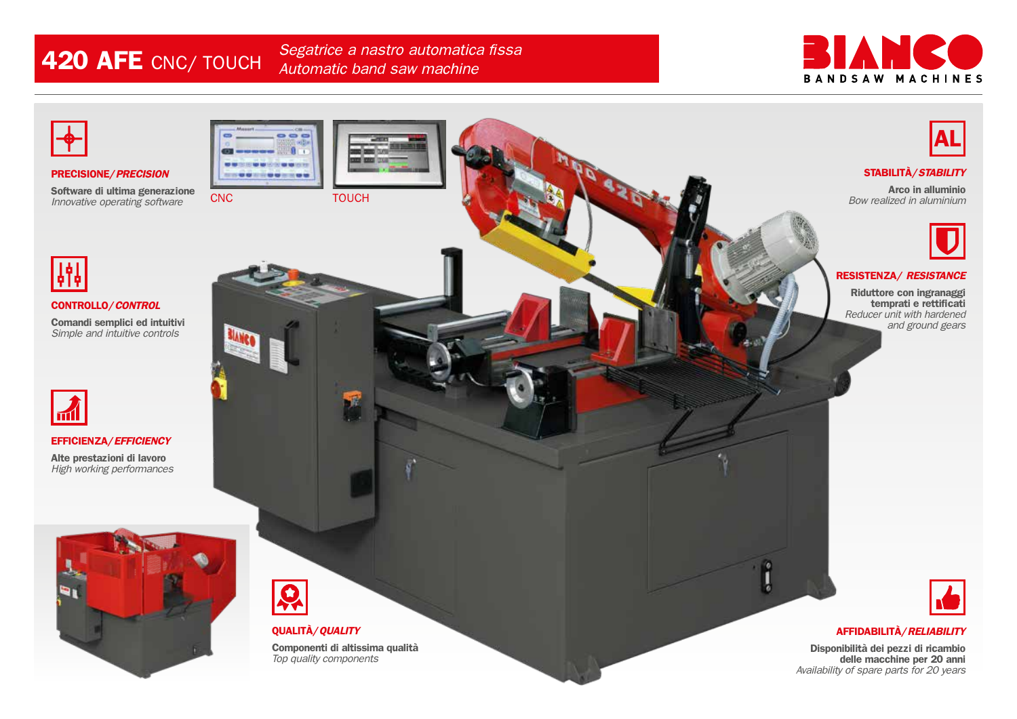**420 AFE** CNC/ TOUCH *Segatrice a nastro automatica fissa Automatic band saw machine*